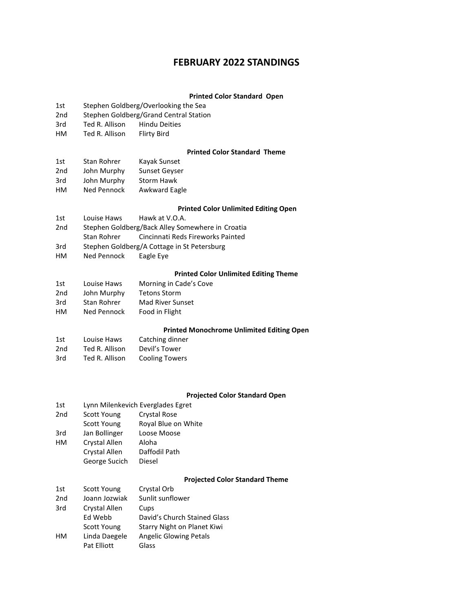# **FEBRUARY 2022 STANDINGS**

## **Printed Color Standard Open**

- 1st Stephen Goldberg/Overlooking the Sea
- 2nd Stephen Goldberg/Grand Central Station
- 3rd Ted R. Allison Hindu Deities
- HM Ted R. Allison Flirty Bird

### **Printed Color Standard Theme**

| 1st             | <b>Stan Rohrer</b> | Kayak Sunset         |
|-----------------|--------------------|----------------------|
| 2 <sub>nd</sub> | John Murphy        | <b>Sunset Geyser</b> |
| 3rd             | John Murphy        | Storm Hawk           |
| HМ              | Ned Pennock        | <b>Awkward Eagle</b> |

## **Printed Color Unlimited Editing Open**

- 1st Louise Haws Hawk at V.O.A. 2nd Stephen Goldberg/Back Alley Somewhere in Croatia Stan Rohrer Cincinnati Reds Fireworks Painted 3rd Stephen Goldberg/A Cottage in St Petersburg
- HM Ned Pennock Eagle Eye
- 

# **Printed Color Unlimited Editing Theme**

| 1st | Louise Haws | Morning in Cade's Cove  |
|-----|-------------|-------------------------|
| 2nd | John Murphy | <b>Tetons Storm</b>     |
| 3rd | Stan Rohrer | <b>Mad River Sunset</b> |
| HМ  | Ned Pennock | Food in Flight          |

# **Printed Monochrome Unlimited Editing Open**

| 1st             | Louise Haws    | Catching dinner       |
|-----------------|----------------|-----------------------|
| 2 <sub>nd</sub> | Ted R. Allison | Devil's Tower         |
| 3rd             | Ted R. Allison | <b>Cooling Towers</b> |

# **Projected Color Standard Open**

| 1st             | Lynn Milenkevich Everglades Egret |                     |  |
|-----------------|-----------------------------------|---------------------|--|
| 2 <sub>nd</sub> | <b>Scott Young</b>                | <b>Crystal Rose</b> |  |
|                 | <b>Scott Young</b>                | Royal Blue on White |  |
| 3rd             | Jan Bollinger                     | Loose Moose         |  |
| нм              | Crystal Allen                     | Aloha               |  |
|                 | Crystal Allen                     | Daffodil Path       |  |
|                 | George Sucich                     | Diesel              |  |
|                 |                                   |                     |  |

# **Projected Color Standard Theme**

| 1st             | Scott Young   | Crystal Orb                   |
|-----------------|---------------|-------------------------------|
| 2 <sub>nd</sub> | Joann Jozwiak | Sunlit sunflower              |
| 3rd             | Crystal Allen | Cups                          |
|                 | Ed Webb       | David's Church Stained Glass  |
|                 | Scott Young   | Starry Night on Planet Kiwi   |
| HМ              | Linda Daegele | <b>Angelic Glowing Petals</b> |
|                 | Pat Elliott   | Glass                         |